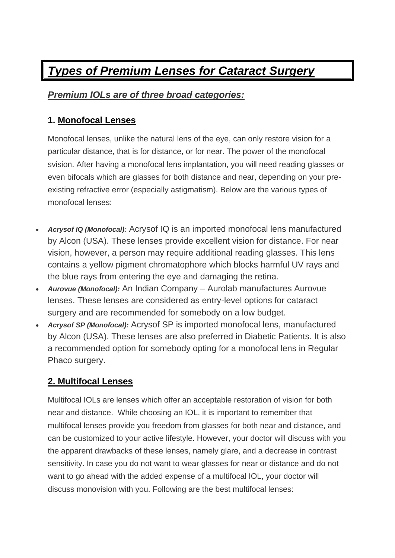# *Types of Premium Lenses for Cataract Surgery*

## *Premium IOLs are of three broad categories:*

#### **1. Monofocal Lenses**

Monofocal lenses, unlike the natural lens of the eye, can only restore vision for a particular distance, that is for distance, or for near. The power of the monofocal svision. After having a monofocal lens implantation, you will need reading glasses or even bifocals which are glasses for both distance and near, depending on your preexisting refractive error (especially astigmatism). Below are the various types of monofocal lenses:

- *Acrysof IQ (Monofocal):* Acrysof IQ is an imported monofocal lens manufactured by Alcon (USA). These lenses provide excellent vision for distance. For near vision, however, a person may require additional reading glasses. This lens contains a yellow pigment chromatophore which blocks harmful UV rays and the blue rays from entering the eye and damaging the retina.
- *Aurovue (Monofocal):* An Indian Company Aurolab manufactures Aurovue lenses. These lenses are considered as entry-level options for cataract surgery and are recommended for somebody on a low budget.
- *Acrysof SP (Monofocal):* Acrysof SP is imported monofocal lens, manufactured by Alcon (USA). These lenses are also preferred in Diabetic Patients. It is also a recommended option for somebody opting for a monofocal lens in Regular Phaco surgery.

### **2. Multifocal Lenses**

Multifocal IOLs are lenses which offer an acceptable restoration of vision for both near and distance. While choosing an IOL, it is important to remember that multifocal lenses provide you freedom from glasses for both near and distance, and can be customized to your active lifestyle. However, your doctor will discuss with you the apparent drawbacks of these lenses, namely glare, and a decrease in contrast sensitivity. In case you do not want to wear glasses for near or distance and do not want to go ahead with the added expense of a multifocal IOL, your doctor will discuss monovision with you. Following are the best multifocal lenses: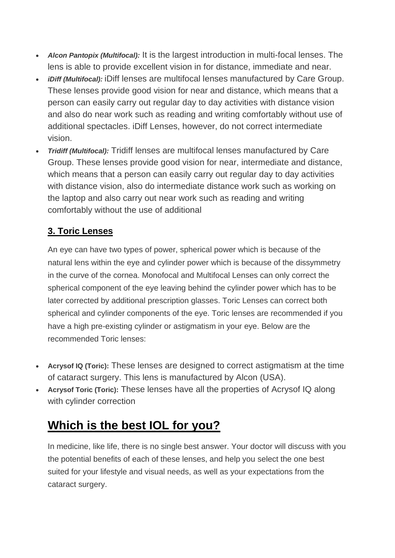- *Alcon Pantopix (Multifocal):* It is the largest introduction in multi-focal lenses. The lens is able to provide excellent vision in for distance, immediate and near.
- *iDiff (Multifocal):* iDiff lenses are multifocal lenses manufactured by Care Group. These lenses provide good vision for near and distance, which means that a person can easily carry out regular day to day activities with distance vision and also do near work such as reading and writing comfortably without use of additional spectacles. iDiff Lenses, however, do not correct intermediate vision.
- *Tridiff (Multifocal):* Tridiff lenses are multifocal lenses manufactured by Care Group. These lenses provide good vision for near, intermediate and distance, which means that a person can easily carry out regular day to day activities with distance vision, also do intermediate distance work such as working on the laptop and also carry out near work such as reading and writing comfortably without the use of additional

### **3. Toric Lenses**

An eye can have two types of power, spherical power which is because of the natural lens within the eye and cylinder power which is because of the dissymmetry in the curve of the cornea. Monofocal and Multifocal Lenses can only correct the spherical component of the eye leaving behind the cylinder power which has to be later corrected by additional prescription glasses. Toric Lenses can correct both spherical and cylinder components of the eye. Toric lenses are recommended if you have a high pre-existing cylinder or astigmatism in your eye. Below are the recommended Toric lenses:

- **Acrysof IQ (Toric):** These lenses are designed to correct astigmatism at the time of cataract surgery. This lens is manufactured by Alcon (USA).
- **Acrysof Toric (Toric):** These lenses have all the properties of Acrysof IQ along with cylinder correction

# **Which is the best IOL for you?**

In medicine, like life, there is no single best answer. Your doctor will discuss with you the potential benefits of each of these lenses, and help you select the one best suited for your lifestyle and visual needs, as well as your expectations from the cataract surgery.